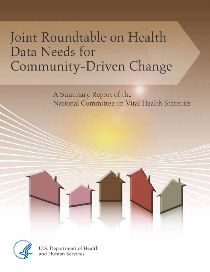# Joint Roundtable on Health Data Needs for Community-Driven Change

A Summary Report of the National Committee on Vital Health Statistics





U.S. Department of Health<br>and Human Services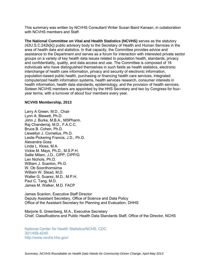This summary was written by NCVHS Consultant Writer Susan Baird Kanaan, in collaboration with NCVHS members and Staff.

**The National Committee on Vital and Health Statistics (NCVHS)** serves as the statutory (42U.S.C.242k[k]) public advisory body to the Secretary of Health and Human Services in the area of health data and statistics. In that capacity, the Committee provides advice and assistance to the Department and serves as a forum for interaction with interested private sector groups on a variety of key health data issues related to population health, standards, privacy and confidentiality, quality, and data access and use. The Committee is composed of 18 individuals who have distinguished themselves in such fields as health statistics, electronic interchange of health care information, privacy and security of electronic information, population-based public health, purchasing or financing health care services, integrated computerized health information systems, health services research, consumer interests in health information, health data standards, epidemiology, and the provision of health services. Sixteen NCVHS members are appointed by the HHS Secretary and two by Congress for fouryear terms, with a turnover of about four members every year.

#### **NCVHS Membership, 2013**

Larry A Green, M.D., Chair Lynn A. Blewett, Ph.D. John J. Burke, M.B.A., MSPharm. Raj Chanderraj, M.D., F.A.C.C. Bruce B. Cohen, Ph.D. Llewellyn J. Cornelius, Ph.D. Leslie Pickering Francis, J.D., Ph.D. Alexandra Goss Linda L. Kloss, M.A. Vickie M. Mays, Ph.D., M.S.P.H. Sallie Milam, J.D., CIPP, CIPP/G Len Nichols, Ph.D. William J. Scanlon, Ph.D. W. Ob Soonthornsima William W. Stead, M.D. Walter G. Suarez, M.D., M.P.H. Paul C. Tang, M.D. James M. Walker, M.D. FACP

James Scanlon, Executive Staff Director Deputy Assistant Secretary, Office of Science and Data Policy Office of the Assistant Secretary for Planning and Evaluation, DHHS

Marjorie S. Greenberg, M.A., Executive Secretary Chief, Classifications and Public Health Data Standards Staff, Office of the Director, NCHS

National Center for Health Statistics/NCHS, CDC 301/458-4245 http://www.ncvhs.hhs.gov/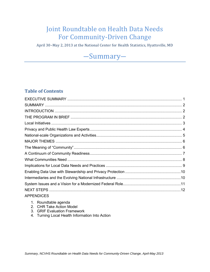## Joint Roundtable on Health Data Needs For Community-Driven Change

April 30–May 2, 2013 at the National Center for Health Statistics, Hyattsville, MD

## ―Summary―

## **Table of Contents**

| <b>APPENDICES</b> |  |
|-------------------|--|

- 1. Roundtable agenda
- 2. CHR Take Action Model
- 3. GRIF Evaluation Framework
- 4. Turning Local Health Information Into Action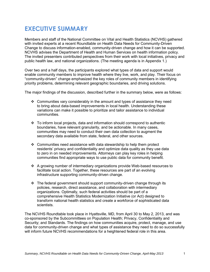## **EXECUTIVE SUMMARY**

Members and staff of the National Committee on Vital and Health Statistics (NCVHS) gathered with invited experts at a recent Roundtable on Health Data Needs for Community-Driven Change to discuss information-enabled, community-driven change and how it can be supported. NCVHS advises the Department of Health and Human Services on health information policy. The invited presenters contributed perspectives from their work with local initiatives, privacy and public health law, and national organizations. (The meeting agenda is in Appendix 1.)

Over two and a half days, the participants explored what types of data and support would enable community members to improve health where they live, work, and play. Their focus on "community-driven" change emphasized the key roles of community members in identifying priority problems, determining relevant geographic boundaries, and driving solutions.

The major findings of the discussion, described further in the summary below, were as follows:

- $\div$  Communities vary considerably in the amount and types of assistance they need to bring about data-based improvements in local health. Understanding these variations can make it possible to prioritize and tailor assistance to individual communities.
- To inform local projects, data and information should correspond to authentic boundaries, have relevant granularity, and be actionable. In many cases, communities may need to conduct their own data collection to augment the secondary data available from state, federal, and other sources.
- $\div$  Communities need assistance with data stewardship to help them protect residents' privacy and confidentiality and optimize data quality as they use data to zero in on needed improvements. Attorneys can play key roles in helping communities find appropriate ways to use public data for community benefit.
- A growing number of intermediary organizations provide Web-based resources to facilitate local action. Together, these resources are part of an evolving infrastructure supporting community-driven change.
- $\cdot \cdot$  The federal government should support community-driven change through its policies, research, direct assistance, and collaboration with intermediary organizations. Optimally, such federal activities should be part of a comprehensive Health Statistics Modernization Initiative (or Act) designed to transform national health statistics and create a workforce of sophisticated data scientists.

The NCVHS Roundtable took place in Hyattsville, MD, from April 30 to May 2, 2013, and was co-sponsored by the Subcommittees on Population Health; Privacy, Confidentiality and Security; and Standards. The findings on how communities acquire, protect, manage, and use data for community-driven change and what types of assistance they need to do so successfully will inform future NCVHS recommendations for a heightened federal role in this area.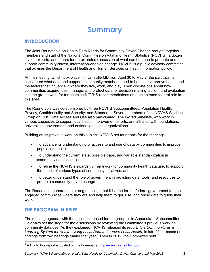## **Summary**

## **INTRODUCTION**

The Joint Roundtable on Health Data Needs for Community-Driven Change brought together members and staff of the National Committee on Vital and Health Statistics (NCVHS), a dozen invited experts, and others for an extended discussion of what can be done to promote and support community-driven, information-enabled change. NCVHS is a public advisory committee that advises the Department of Health and Human Services on health information policy.

At this meeting, which took place in Hyattsville MD from April 30 to May 2, the participants considered what data and supports community members need to be able to improve health and the factors that influence it where they live, work, and play. Their discussions about how communities acquire, use, manage, and protect data for decision-making, action, and evaluation laid the groundwork for forthcoming NCVHS recommendations on a heightened federal role in this area.

The Roundtable was co-sponsored by three NCVHS Subcommittees: Population Health; Privacy, Confidentiality and Security; and Standards. Several members of the NCVHS Working Group on HHS Data Access and Use also participated. The invited panelists, who work in various capacities to support local health improvement efforts, are affiliated with foundations, universities, government, and national and local organizations.

Building on its previous work on this subject, NCVHS set four goals for the meeting:

- To advance its understanding of access to and use of data by communities to improve population health;
- To understand the current state, possible gaps, and variable standardization in community data collection;
- To refine the NCVHS stewardship framework for community health data use, to support the needs of various types of community initiatives; and
- To better understand the role of government in providing data, tools, and resources to promote community-driven change.

The Roundtable generated a strong message that it is time for the federal government to meet engaged communities where they are and help them to get, use, and reuse data to guide their work.

## **THE PROGRAM IN BRIEF**

The meeting agenda, with the questions posed for the group, is in Appendix 1. Subcommittee Co-chairs set the stage for the discussions by reviewing the Committee's previous work on community data use. As they explained, NCVHS released its report, *The Community as a Learning System for Health: Using Local Data to Improve Local Health,* in late 2011, based on findings from two hearings earlier that year. $1$  Then in 2012, the Committee sent

<sup>&</sup>lt;sup>1</sup> A link to this report is posted on the homepage, http://www.ncvhs.hhs.gov/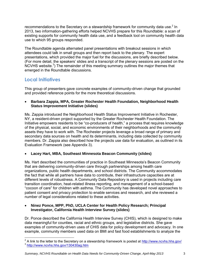recommendations to the Secretary on a stewardship framework for community data use.<sup>2</sup> In 2013, two information-gathering efforts helped NCVHS prepare for this Roundtable: a scan of existing supports for community health data use, and a feedback tool on community health data use to which 95 groups responded.

The Roundtable agenda alternated panel presentations with breakout sessions in which attendees could talk in small groups and then report back to the plenary. The expert presentations, which provided the major fuel for the discussions, are briefly described below. (For more detail, the speakers' slides and a transcript of the plenary sessions are posted on the NCVHS website. $3$ ) The remainder of this meeting summary outlines the major themes that emerged in the Roundtable discussions.

## **Local Initiatives**

This group of presenters gave concrete examples of community-driven change that grounded and provided reference points for the more theoretical discussions.

 **Barbara Zappia, MPA, Greater Rochester Health Foundation, Neighborhood Health Status Improvement Initiative (slides)** 

Ms. Zappia introduced the Neighborhood Health Status Improvement Initiative in Rochester, NY, a resident-driven project supported by the Greater Rochester Health Foundation. The Initiative empowers residents to be "co-producers of health," a process that requires knowledge of the physical, social, and economic environments of their neighborhoods and the community assets they have to work with. The Rochester projects leverage a broad range of primary and secondary data sources on health and its determinants, including data collected by community members. Dr. Zappia also described how the projects use data for evaluation, as outlined in its Evaluation Framework (see Appendix 3).

#### **Lacey Hart, MBA, Southeast Minnesota Beacon Community (slides)**

Ms. Hart described the communities of practice in Southeast Minnesota's Beacon Community that are delivering community-driven care through partnerships among health care organizations, public health departments, and school districts. The Community accommodates the fact that while all partners have data to contribute, their infrastructure capacities are at different levels of robustness. A Community Data Repository is used in projects including care transition coordination, heat-related illness reporting, and management of a school-based "cocoon of care" for children with asthma. The Community has developed novel approaches to patient consent and privacy protection to enable services and research, and she reviewed a number of legal considerations related to these activities.

#### **Ninez Ponce, MPP, PhD, UCLA Center for Health Policy Research; Principal Investigator, California Health Interview Survey (slides)**

Dr. Ponce described the California Health Interview Survey (CHIS), which is designed to make data meaningful for counties, racial and ethnic groups, and legislative districts. She gave examples of community-driven uses of CHIS data for policy development and advocacy. In one example, community members used data on BMI and fast food establishments to analyze the

 $2<sup>2</sup>$  A link to the letter to the Secretary on a stewardship framework is posted at http://www.ncvhs.hhs.gov/

<sup>3</sup> http://www.ncvhs.hhs.gov/130430ag.htm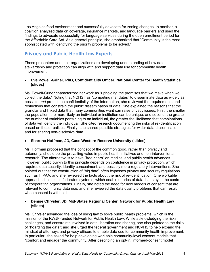Los Angeles food environment and successfully advocate for zoning changes. In another, a coalition analyzed data on coverage, insurance markets, and language barriers and used the findings to advocate successfully for language services during the open enrollment period for the Affordable Care Act. As a general principle, she emphasized that "Community is the most sophisticated with identifying the priority problems to be solved."

## **Privacy and Public Health Law Experts**

These presenters and their organizations are developing understanding of how data stewardship and protection can align with and support data use for community health improvement.

#### **Eve Powell-Griner, PhD, Confidentiality Officer, National Center for Health Statistics (slides)**

Ms. Powell-Griner characterized her work as "upholding the promises that we make when we collect the data." Noting that NCHS has "competing mandates" to disseminate data as widely as possible *and* protect the confidentiality of the information, she reviewed the requirements and restrictions that constrain the public dissemination of data. She explained the reasons that the granular and linked data that many communities want can raise privacy issues: First, the smaller the population, the more likely an individual or institution can be unique; and second, the greater the number of variables pertaining to an individual, the greater the likelihood that combinations of data will identify the individual. She cited research documenting the risks of re-identification based on these realities. Finally, she shared possible strategies for wider data dissemination and for sharing non-disclosive data.

#### **Sharona Hoffman, JD, Case Western Reserve University (slides)**

Ms. Hoffman proposed that the concept of the common good, rather than privacy and autonomy, should be the prevailing value in public health initiatives and non-interventional research. The alternative is to have "free riders" on medical and public health advances. However, public buy-in to this principle depends on confidence in privacy protection, which requires data security, identity concealment, and possibly more regulatory interventions. She pointed out that the construction of "big data" often bypasses privacy and security regulations such as HIPAA, and she reviewed the facts about the risk of re-identification. One workable approach, she said, is federated systems, which enable queries of data that stay in the control of cooperating organizations. Finally, she noted the need for new models of consent that are relevant to community data use, and she reviewed the data quality problems that can result when consent is withheld.

#### **Denise Chrysler, JD, Mid-States Regional Center, Network for Public Health Law (slides)**

Ms. Chrysler advanced the idea of using law to solve public health problems, which is the mission of the RWJF-funded Network for Public Health Law. While acknowledging the risks, challenges, and constraints involved in data liberation and sharing, she also pointed to the risks of "hoarding the data"; and she urged the federal government and NCVHS to help expand the mindset of attorneys and privacy officers to enable data use for community health improvement. In particular, she asked for help developing workable community-level consent models that "comfort and engage" the community. After describing an opt-in, informed-consent model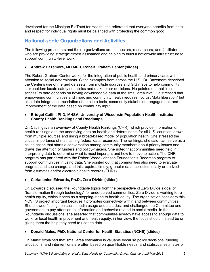developed for the Michigan BioTrust for Health, she reiterated that everyone benefits from data and respect for individual rights must be balanced with protecting the common good.

## **National-scale Organizations and Activities**

The following presenters and their organizations are connecters, researchers, and facilitators who are providing strategic expert assistance and helping to build a nationwide infrastructure to support community-level work.

### **Andrew Bazemore, MD MPH, Robert Graham Center (slides)**

The Robert Graham Center works for the integration of public health and primary care, with attention to social determinants. Citing examples from across the U.S., Dr. Bazemore described the Center's use of merged datasets from multiple sources and GIS maps to help community stakeholders locate safety net clinics and make other decisions. He pointed out that "real access" to data depends on having downloadable data at the small area level. He stressed that empowering communities and improving community health requires not just "data liberation" but also data integration, translation of data into tools, community stakeholder engagement, and improvement of the data based on community input.

#### **Bridget Catlin, PhD, MHSA, University of Wisconsin Population Health Institute/ County Health Rankings and Roadmaps**

Dr. Catlin gave an overview of County Health Rankings (CHR), which provide information on health rankings and the underlying data on health and determinants for all U.S. counties, drawn from multiple sources and using a broad-based model of population health. She stressed the critical importance of maintaining federal data resources. The rankings, she said, can serve as a call to action that starts a conversation among community members about priority issues and draws the attention of funders and policy-makers. She noted that communities need help in interpreting data to determine what is most important and how to move to action. The CHR program has partnered with the Robert Wood Johnson Foundation's Roadmap program to support communities in using data. She pointed out that communities also need to evaluate progress and see change, and this requires timely, granular data, collected locally or derived from estimates and/or electronic health records (EHRs).

#### **Carladenise Edwards, Ph.D., Zero Divide (slides)**

Dr. Edwards discussed the Roundtable topics from the perspective of Zero Divide's goal of "transformation through technology" for underserved communities. Zero Divide is working for ehealth equity, which it sees as a stepping-stone to health equity. The organization considers this NCVHS project important because it promotes connectivity within and between communities. She showed findings on social media usage and attitudes, and challenged the Committee and government to pay attention to information and behavior related to social media. In the Roundtable discussions, she asserted that communities already have access to enough data to work for local health improvement and health equity; in her view, the focus should instead be on giving them the help they need to use the data.

### **Donald Malec, PhD, National Center for Health Statistics (NCHS) (slides)**

Dr. Malec explained that small area estimation is valuable because policy decisions, funding allocations, and interventions are often based on quantifiable needs, and statistical estimates of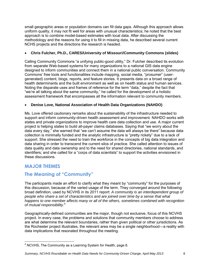small geographic areas or population domains can fill data gaps. Although this approach allows uniform quality, it may not fit well for areas with unusual characteristics; he noted that the best approach is to combine model-based estimates with local data. After discussing the methodology and the reasons for using it to fill in missing data, he described several current NCHS projects and the directions the research is headed.

### **Chris Fulcher, Ph.D., CARES/University of Missouri/Community Commons (slides)**

Calling Community Commons "a unifying public-good utility," Dr. Fulcher described its evolution from separate Web-based systems for many organizations to a national GIS data engine designed to inform communities and connect them in a national public conversation. Community Commons' free tools and functionalities include mapping, social media, "prosumer" (usergenerated) content, blogs, reports, and feature stories. It presents data on a broad range of health determinants and the built environment as well as on health status and human services. Noting the disparate uses and frames of reference for the term "data," despite the fact that "we're all talking about the same community," he called for the development of a holistic assessment framework that encompasses all the information relevant to community members.

#### **Denise Love, National Association of Health Data Organizations (NAHDO)**

Ms. Love offered cautionary remarks about the sustainability of the infrastructure needed to support and inform community-driven health assessment and improvement. NAHDO works with states and private organizations to improve health care data collection and use. A major current project is helping states to build all-payer claims databases. Saying that "we worry about the data every day," she warned that "we can't assume the data will always be there" because data collection is minimally funded and the analytic infrastructure is "pretty rickety" due to a lack of support. She stressed the need to train the workforce in the concepts of big data integration and data sharing in order to transcend the current silos of practice. She called attention to issues of data quality and data ownership and to the need for shared directories, national standards, and identifiers; and she called for a "corps of data scientists" to support the activities envisioned in these discussions.

## **MAJOR THEMES**

## **The Meaning of "Community"**

The participants made an effort to clarify what they meant by "community" for the purposes of this discussion, because of the varied usage of the term. They converged around the following broad definition, used by NCVHS in its 2011 report: *A community is an interdependent group of people who share a set of characteristics and are joined over time by a sense that what happens to one member affects many or all of the others, sometimes combined with recognition of mutual responsibility.*<sup>4</sup> 

Geographically-defined communities are the major, though not exclusive, focus of this NCVHS project. In every case, the problems and solutions that community members choose to address are what determine the relevant boundaries, rather than given political or other jurisdictions. As the Rochester project illustrates, the relevant area may be a single neighborhood―a reality with data implications that resonated throughout the meeting.

#### *Summary, NCVHS Roundtable on Health Data Needs for Community-Driven Change, April-May 2013* 6

<sup>&</sup>lt;sup>4</sup> NCVHS, The Community as a Learning System for Health, page 8.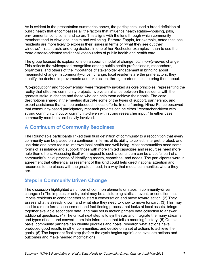As is evident in the presentation summaries above, the participants used a broad definition of public health that encompasses all the factors that influence health status―housing, jobs, environmental conditions, and so on. This aligns with the lens through which community members tend to view local health and wellbeing. Barbara Zappia, for example, noted that local residents are more likely to express their issues in terms of "what they see out their windows"—rats, trash, and drug dealers in one of her Rochester examples—than to use the more disease-oriented traditional vocabularies of public health and health care.

The group focused its explorations on a specific model of change, *community-driven* change. This reflects the widespread recognition among public health professionals, researchers, organizers, and others of the importance of stakeholder engagement in bringing about meaningful change. In community-driven change, local residents are the prime actors; they identify the desired improvements and take action, through partnerships, to bring them about.

"Co-production" and "co-ownership" were frequently invoked as core principles, representing the reality that effective community projects involve an alliance between the residents with the greatest stake in change and those who can help them achieve their goals. The case descriptions shared in the meeting illustrate some of the types of support, partnership, and expert assistance that can be embedded in local efforts. In one framing, Ninez Ponce observed that community-based participatory research projects can be either "researcher-driven with strong community input or community-driven with strong researcher input." In either case, community members are heavily involved.

## **A Continuum of Community Readiness**

The Roundtable participants linked their fluid definition of community to a recognition that every community can be placed on a continuum in terms of its ability to collect, interpret, protect, and use data and other tools to improve local health and well-being. Most communities need some forms of assistance and support; those with more limited capacities and resources need more help than others. Assessing itself with respect to such a continuum can be a useful part of a community's initial process of identifying assets, capacities, and needs. The participants were in agreement that differential assessment of this kind could help direct national attention and resources to the places with the greatest need, in a way that meets communities where they are.

## **Steps in Community Driven Change**

The discussion highlighted a number of common elements or steps in community-driven change: (1) The impetus or entry-point may be a disturbing statistic, event, or condition that impels residents to come together to start a conversation and move toward action. (2) They assess what is already known and what else they need to know to move forward. (3) This may lead to a more formal assessment and fact-finding process that looks at local assets, brings together available secondary data, and may set in motion primary data collection to answer additional questions. (4) The critical next step is to synthesize and integrate the many streams and types of data and convert them into information that tells a meaningful story. (5) On this basis, community partners can identify priorities and goals, research what actions have produced good results in other communities, and decide on a set of actions to achieve their goals. (6) The important final step (before the cycle begins again) is to evaluate actions and outcomes and make needed modifications.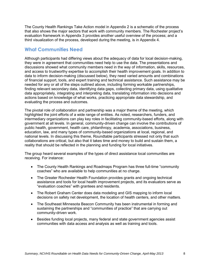The County Health Rankings Take Action model in Appendix 2 is a schematic of the process that also shows the major sectors that work with community members. The Rochester project's evaluation framework in Appendix 3 provides another useful overview of the process; and a third visualization of the process, developed during the meeting, is in Appendix 4.

## **What Communities Need**

Although participants had differing views about the adequacy of data for local decision-making, they were in agreement that communities need help to use the data. The presentations and discussions showed what community members need in the way of information, skills, resources, and access to trustworthy expertise to accomplish their health improvement goals. In addition to data to inform decision-making (discussed below), they need varied amounts and combinations of financial support, tools, and expert training and technical assistance. Such assistance may be needed for any or all of the steps outlined above, including forming workable partnerships, finding relevant secondary data, identifying data gaps, collecting primary data, using qualitative data appropriately, integrating and interpreting data, translating information into decisions and actions based on knowledge of what works, practicing appropriate data stewardship, and evaluating the process and outcomes.

The pivotal role of collaboration and partnership was a major theme of the meeting, which highlighted the joint efforts of a wide range of entities. As noted, researchers, funders, and intermediary organizations can play key roles in facilitating community-based efforts, along with government at all levels. In general, community-driven change can involve the contributions of public health, government, health care, philanthropy, academia, associations, business, education, law, and many types of community-based organizations at local, regional, and national levels. In discussing this theme, Roundtable participants stressed not only that such collaborations are critical, but also that it takes time and money to build and sustain them, a reality that should be reflected in the planning and funding for local initiatives.

The group heard several examples of the types of direct assistance local communities are receiving. For instance:

- The County Health Rankings and Roadmaps Program has three full-time "community coaches" who are available to help communities at no charge.
- The Greater Rochester Health Foundation provides grants and ongoing technical assistance and tools for local health improvement projects, and its evaluators serve as "evaluation coaches" with grantees and residents.
- The Robert Graham Center does data modeling and GIS mapping to inform local decisions on safety net development, the location of health centers, and other matters.
- The Southeast Minnesota Beacon Community has been instrumental in forming and sustaining the partnerships and "communities of practice" that are carrying out community-driven work.
- Besides funding local projects, many federal and state government agencies assist communities with data access and analysis as well as training and tools.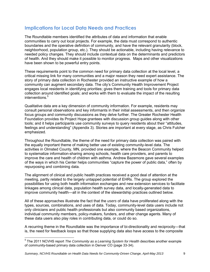## **Implications for Local Data Needs and Practices**

The Roundtable members identified the attributes of data and information that enable communities to carry out local projects. For example, the data must correspond to authentic boundaries and the operative definition of community, and have the relevant granularity (block, neighborhood, population group, etc.). They should be actionable, including having relevance to needed policy changes. They should include contextual data on the determinants and predictors of health. And they should make it possible to monitor progress. Maps and other visualizations have been shown to be powerful entry points.

These requirements point to the common need for primary data collection at the local level, a critical missing link for many communities and a major reason they need expert assistance. The story of primary data collection in Rochester provided an instructive example of how a community can augment secondary data. The city's Community Health Improvement Project engages local residents in identifying priorities; gives them training and tools for primary data collection around identified goals; and works with them to evaluate the impact of the resulting interventions.<sup>5</sup>

Qualitative data are a key dimension of community information. For example, residents may consult personal observations and key informants in their initial assessments, and then organize focus groups and community discussions as they delve further. The Greater Rochester Health Foundation provides its Project Hope grantees with discussion group guides along with other tools; and it helps participants use community surveys to query residents about their "attitudes, feelings and understanding" (Appendix 3). Stories are important at every stage, as Chris Fulcher emphasized.

Throughout the Roundtable, the theme of the need for primary data collection was paired with the equally important theme of making better use of existing community-level data. The activities in Olmsted County, MN, provided one example, where the Beacon Community helped to systematize information-sharing among schools, health care providers, and parents to improve the care and health of children with asthma. Andrew Bazemore gave several examples of the ways in which his Center helps communities "capture the power of public data," often by repurposing and combining data.

The alignment of clinical and public health practices received a good deal of attention at the meeting, partly related to the largely untapped potential of EHRs. The group explored the possibilities for using both health information exchanges and new extension services to facilitate linkages among clinical data, population health survey data, and locally-generated data to improve community health―all in the context of the stewardship practices outlined below.

All of these approaches illustrate the fact that the *users* of data have proliferated along with the types, sources, combinations, and uses of data. Today, community-level data users include not only clinicians and public health professionals but also community based organizations, individual community members, policy-makers, funders, and other change agents. Many of these data users also play roles in contributing data, or could do so.

A recurring theme in the Roundtable was the importance of bi-directionality and reciprocity―that is, the need for feedback loops so that those supplying data also have access to the composite

<sup>5</sup> The 2011 NCVHS report *The Community as a Learning System for Health* describes another example of community-based primary data collection in Denver CO (page 33-34).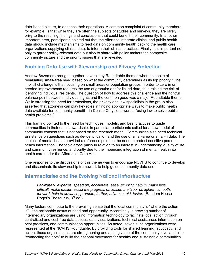data-based picture, to enhance their operations. A common complaint of community members, for example, is that while they are often the subjects of studies and surveys, they are rarely privy to the resulting findings and conclusions that could benefit their community. In another important area, participants pointed out that the efforts to integrate clinical and public health data should include mechanisms to feed data on community health back to the health care organizations supplying clinical data, to inform their clinical practices. Finally, it is important not only to garner policy-relevant data but also to share with policy makers the composite community picture and the priority issues that are revealed.

## **Enabling Data Use with Stewardship and Privacy Protection**

Andrew Bazemore brought together several key Roundtable themes when he spoke of "evaluating small-area need based on what the community determines as its top priority." The implicit challenge is that focusing on small areas or population groups in order to zero in on needed improvements requires the use of granular and/or linked data, thus raising the risk of identifying individual residents. The question of how to address this challenge and the rightful balance-point between individual rights and the common good was a major Roundtable theme. While stressing the need for protections, the privacy and law specialists in the group also asserted that attorneys can play key roles in finding appropriate ways to make public health data available for community benefit―in Denise Chrysler's words, "using law to solve public health problems."

This framing pointed to the need for techniques, models, and best practices to guide communities in their data stewardship. In particular, participants called for a new model of community consent that is not based on the research model. Communities also need technical assistance on questions such as de-identification and the use of small-area or small-n data. The subject of mental health provided a reference point on the need to protect sensitive personal health information. The topic arose partly in relation to an interest in understanding quality of life and community resilience, and partly due to the impending integration of mental health into health care under the Affordable Care Act.

One response to the discussions of this theme was to encourage NCVHS to continue to develop and disseminate its stewardship framework to help guide community data use.

## **Intermediaries and the Evolving National Infrastructure**

*Facilitate v: expedite, speed up, accelerate, ease, simplify, help in, make less difficult, make easier, assist the progress of, lessen the labor of, lighten, smooth; forward, help to advance, promote, further, advance, aid, foster.* (Random House Roget's Thesaurus,  $3<sup>rd</sup>$  ed.)

Many factors contribute to the prevailing sense that the local community is "where the action is"―the actionable nexus of need and opportunity. Accordingly, a growing number of intermediary organizations are using information technology to facilitate local action through centralized and cost-free data access, data visualizations, technical assistance, information on best practices, and communication opportunities. As noted, seven such organizations were represented at the NCVHS Roundtable. By providing tools for shared learning, advocacy, and action, these organizations are strengthening and adding value at the community level and also "connecting the dots" to build the national movement for healthy and sustainable communities.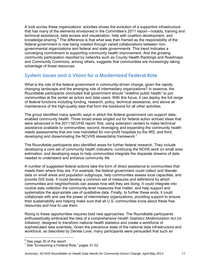A look across these organizations' activities shows the evolution of a supportive infrastructure that has many of the elements envisioned in the Committee's 2011 report―notably, training and technical assistance, data access and visualization, help with coalition development, and knowledge-sharing.<sup>6</sup> The difference is that what was then framed as the responsibility of the federal government is now being created through varied collaborations between nongovernmental organizations and federal and state governments. This trend indicates a converging commitment to supporting community health improvement. And the growing community participation reported by networks such as County Health Rankings and Roadmaps and Community Commons, among others, suggests that communities are increasingly taking advantage of these resources.

## **System Issues and a Vision for a Modernized Federal Role**

What is the role of the federal government in community-driven change, given the rapidly changing landscape and the emerging role of intermediary organizations? In essence, the Roundtable participants concluded that government should "redefine public health" to put communities at the center as actors and data users. With this focus, it can deploy the full range of federal functions including funding, research, policy, technical assistance, and above all maintenance of the high-quality data that form the backbone for all other activities.

The group identified many specific ways in which the federal government can support dataenabled community health. Three broad areas singled out for federal action echoed ideas that were advanced in the 2011 NCVHS report: first, using extension centers to make technical assistance available to communities; second, leveraging and expanding the community health needs assessments that are now mandated for non-profit hospitals by the IRS; and third, developing and disseminating the NCVHS stewardship framework.<sup>7</sup>

The Roundtable participants also identified areas for further federal research. They include developing a core set of community health indicators; continuing the NCHS work on small area estimation; and developing ways to help communities integrate the disparate streams of data needed to understand and enhance community life.

A number of suggested federal actions take the form of direct assistance to communities that meets them where they are. For example, the federal government could collect and liberate data on small areas and population subgroups, help communities assess local capacities, and provide GIS tools. It could develop a common set of measures and definitions by which communities and neighborhoods can assess how well they are doing. It could integrate into routine data collection the community-level measures that matter, and help support and systematize the appropriate use of qualitative data. Finally, to further these ends, it could collaborate with and use the power of intermediary organizations, providing support to ensure their sustainability and helping make sure that all U.S. communities know about these free resources and how to use them.

Rising to these opportunities requires bold new approaches. The Roundtable participants enthusiastically embraced the idea of a comprehensive *Health Statistics Modernization Act (or Initiative),* designed to transform national health statistics and create a workforce of sophisticated data scientists. Given the precarious state of the national data infrastructure and workforce, as described by Denise Love, many participants were persuaded that such an

 $\frac{6}{5}$  See page 30 of the report.

<sup>&</sup>lt;sup>7</sup> See "Envisioning a Federal Role," pages 31-32.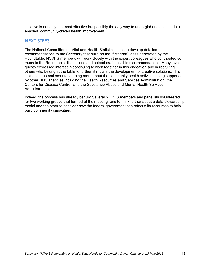initiative is not only the most effective but possibly the *only* way to undergird and sustain dataenabled, community-driven health improvement.

## **NEXT STEPS**

The National Committee on Vital and Health Statistics plans to develop detailed recommendations to the Secretary that build on the "first draft" ideas generated by the Roundtable. NCVHS members will work closely with the expert colleagues who contributed so much to the Roundtable discussions and helped craft possible recommendations. Many invited guests expressed interest in continuing to work together in this endeavor, and in recruiting others who belong at the table to further stimulate the development of creative solutions. This includes a commitment to learning more about the community health activities being supported by other HHS agencies including the Health Resources and Services Administration, the Centers for Disease Control, and the Substance Abuse and Mental Health Services Administration.

Indeed, the process has already begun: Several NCVHS members and panelists volunteered for two working groups that formed at the meeting, one to think further about a data stewardship model and the other to consider how the federal government can refocus its resources to help build community capacities.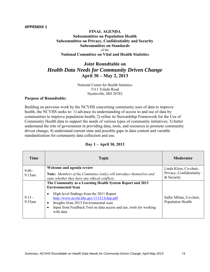#### **FINAL AGENDA Subcommittee on Population Health Subcommittee on Privacy, Confidentiality and Security Subcommittee on Standards**  of the **National Committee on Vital and Health Statistics**

## **Joint Roundtable on**  *Health Data Needs for Community Driven Change*  **April 30 – May 2, 2013**

National Center for Health Statistics 3311 Toledo Road Hyattsville, MD 20782

#### **Purpose of Roundtable:**

Building on previous work by the NCVHS concerning community uses of data to improve health, the NCVHS seeks to: 1) advance its understanding of access to and use of data by communities to improve population health; 2) refine its Stewardship Framework for the Use of Community Health data to support the needs of various types of community initiatives; 3) better understand the role of government in providing data, tools, and resources to promote community driven change; 4) understand current state and possible gaps in data content and variable standardization for community data collection and use.

| Time               | <b>Topic</b>                                                                                                                                                                                                                                                                                                                                     | <b>Moderator</b>                                                 |
|--------------------|--------------------------------------------------------------------------------------------------------------------------------------------------------------------------------------------------------------------------------------------------------------------------------------------------------------------------------------------------|------------------------------------------------------------------|
| $9:00 -$<br>9:15am | Welcome and agenda review<br>Note: Members of the Committee (only) will introduce themselves and<br>state whether they have any ethical conflicts.                                                                                                                                                                                               | Linda Kloss, Co-chair,<br>Privacy, Confidentiality<br>& Security |
| $9:15-$<br>9:35am  | The Community as a Learning Health System Report and 2013<br><b>Environmental Scan</b><br>High-level findings from the 2011 Report<br>$\bullet$<br>http://www.ncvhs.hhs.gov/111213chip.pdf<br>Insights from 2013 Environmental scan<br>$\bullet$<br>Input from Feedback Tool on data access and use, tools for working<br>$\bullet$<br>with data | Sallie Milam, Co-chair,<br>Population Health                     |

#### **Day 1 – April 30, 2013**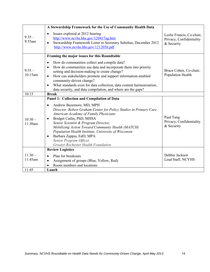|                              | A Stewardship Framework for the Use of Community Health Data                                                                                                                                                                                                                                                                                                                                                                                                                                                |                                                                     |
|------------------------------|-------------------------------------------------------------------------------------------------------------------------------------------------------------------------------------------------------------------------------------------------------------------------------------------------------------------------------------------------------------------------------------------------------------------------------------------------------------------------------------------------------------|---------------------------------------------------------------------|
| $9:35-$<br>9:55am            | Issues explored at 2012 hearing<br>$\bullet$<br>http://www.ncvhs.hhs.gov/120417ag.htm<br>Stewardship Framework Letter to Secretary Sebelius, December 2012<br>$\bullet$<br>http://www.ncvhs.hhs.gov/121205lt.pdf                                                                                                                                                                                                                                                                                            | Leslie Francis, Co-chair,<br>Privacy, Confidentiality<br>& Security |
|                              | Framing the major issues for this Roundtable                                                                                                                                                                                                                                                                                                                                                                                                                                                                |                                                                     |
| $9:55-$<br>10:15am           | How do communities collect and compile data?<br>$\bullet$<br>How do communities use data and incorporate them into priority<br>$\bullet$<br>setting and decision-making to create change?<br>How can stakeholders promote and support information-enabled<br>$\bullet$<br>community-driven change?<br>What standards exist for data collection, data content harmonization,<br>$\bullet$<br>data security, and data compilation, and where are the gaps?                                                    | Bruce Cohen, Co-chair,<br>Population Health                         |
| 10:15                        | <b>Break</b>                                                                                                                                                                                                                                                                                                                                                                                                                                                                                                |                                                                     |
| $10:30-$<br>11:30am          | Panel 1: Collection and Compilation of Data<br>Andrew Bazemore, MD, MPH<br>$\bullet$<br>Director, Robert Graham Center for Policy Studies in Primary Care<br>American Academy of Family Physicians<br>Bridget Catlin, PhD, MHSA<br>$\bullet$<br>Senior Scientist & Program Director,<br>Mobilizing Action Toward Community Health (MATCH)<br>Population Health Institute, University of Wisconsin<br>Barbara Zappia, EdD, MPA<br>$\bullet$<br>Senior Program Officer<br>Greater Rochester Health Foundation | Paul Tang<br>Privacy, Confidentiality<br>& Security                 |
| $11:30-$<br>11:45am<br>11:45 | <b>Review Logistics</b><br>Plan for breakouts<br>$\bullet$<br>Assignment of groups (Blue, Yellow, Red)<br>$\bullet$<br>Room numbers and locations<br>$\bullet$<br>Lunch                                                                                                                                                                                                                                                                                                                                     | Debbie Jackson<br>Lead Staff, NCVHS                                 |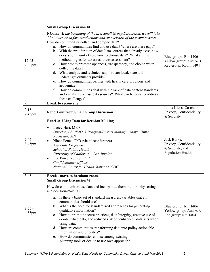|                       | <b>Small Group Discussion #1:</b>                                                                                                                                                                                                                                                                                                                                                                                                                                                                                                                                                                                                                                                                                                                                                                                                                                                                       |                                                                                 |
|-----------------------|---------------------------------------------------------------------------------------------------------------------------------------------------------------------------------------------------------------------------------------------------------------------------------------------------------------------------------------------------------------------------------------------------------------------------------------------------------------------------------------------------------------------------------------------------------------------------------------------------------------------------------------------------------------------------------------------------------------------------------------------------------------------------------------------------------------------------------------------------------------------------------------------------------|---------------------------------------------------------------------------------|
| $12:45-$<br>$2:00$ pm | NOTE: At the beginning of the first Small Group Discussion, we will take<br>15 minutes or so for introductions and an overview of the group process<br>How do communities collect and compile data?<br>a. How do communities find and use data? Where are there gaps?<br>b. With the proliferation of data/data sources that already exist, how<br>does a community know how to choose data? What are the<br>methodologies for asset/resources assessment?<br>c. How best to promote openness, transparency, and choice when<br>collecting data?<br>d. What analytic and technical support can local, state and<br>Federal governments provide?<br>e. How do communities partner with health care providers and<br>academia?<br>$f_{\cdot}$<br>How do communities deal with the lack of data content standards<br>and variability across data sources? What can be done to address<br>these challenges? | Blue group: Rm 1406<br>Yellow group: Aud A/B<br>Red group: Room 1404            |
| 2:00                  | <b>Break to reconvene</b>                                                                                                                                                                                                                                                                                                                                                                                                                                                                                                                                                                                                                                                                                                                                                                                                                                                                               |                                                                                 |
| $2:15-$<br>2:45pm     | <b>Report out from Small Group Discussion 1</b>                                                                                                                                                                                                                                                                                                                                                                                                                                                                                                                                                                                                                                                                                                                                                                                                                                                         | Linda Kloss, Co-chair,<br>Privacy, Confidentiality<br>& Security                |
| $2:45-$<br>3:45pm     | <b>Panel 2: Using Data for Decision Making</b><br>Lacey Hart, MBA<br>$\bullet$<br>Director, BSI PMO & Program/Project Manager, Mayo Clinic<br>Rochester, MN<br>Ninez Ponce, PhD (via teleconference)<br>$\bullet$<br>Associate Professor<br>School of Public Health<br>University of California - Los Angeles<br>Eve Powell-Griner, PhD<br>$\bullet$<br>Confidentiality Officer<br>National Center for Health Statistics, CDC                                                                                                                                                                                                                                                                                                                                                                                                                                                                           | Jack Burke,<br>Privacy, Confidentiality<br>& Security, and<br>Population Health |
| 3:45                  | <b>Break - move to breakout rooms</b>                                                                                                                                                                                                                                                                                                                                                                                                                                                                                                                                                                                                                                                                                                                                                                                                                                                                   |                                                                                 |
| $3:55-$<br>$4:55$ pm  | <b>Small Group Discussion #2</b><br>How do communities use data and incorporate them into priority setting<br>and decision-making?<br>Is there a basic set of standard measures, variables that all<br>a.<br>communities should use?<br>b. What is the need for standardized approaches for generating<br>qualitative information?<br>c. How to promote secure practices, data Integrity, creative use of<br>de-identified data, and reduced risk of "enhanced" data sets when<br>using data?<br>d. How are communities transforming data into policy actionable<br>information and priorities?<br>How do communities choose among existing<br>e.<br>planning tools or decide to use own approach?                                                                                                                                                                                                      | Blue group: Rm 1406<br>Yellow group: Aud A/B<br>Red group: Rm 1404              |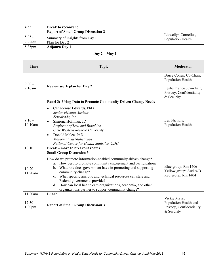| 4:55                  | <b>Break to reconvene</b>                        |                                                  |
|-----------------------|--------------------------------------------------|--------------------------------------------------|
|                       | <b>Report of Small Group Discussion 2</b>        |                                                  |
| $5:05 -$<br>$5:35$ pm | Summary of insights from Day 1<br>Plan for Day 2 | Llewellyn Cornelius,<br><b>Population Health</b> |
| $5:35$ pm             | <b>Adjourn Day 1</b>                             |                                                  |

### **Day 2 – May 1**

| <b>Time</b>           | <b>Topic</b>                                                                                                                                                                                                                                                                                                                                                                                                                                                                             | <b>Moderator</b>                                                                                                   |
|-----------------------|------------------------------------------------------------------------------------------------------------------------------------------------------------------------------------------------------------------------------------------------------------------------------------------------------------------------------------------------------------------------------------------------------------------------------------------------------------------------------------------|--------------------------------------------------------------------------------------------------------------------|
| $9:00-$<br>9:10am     | <b>Review work plan for Day 2</b>                                                                                                                                                                                                                                                                                                                                                                                                                                                        | Bruce Cohen, Co-Chair,<br>Population Health<br>Leslie Francis, Co-chair,<br>Privacy, Confidentiality<br>& Security |
|                       | Panel 3: Using Data to Promote Community Driven Change Needs                                                                                                                                                                                                                                                                                                                                                                                                                             |                                                                                                                    |
| $9:10-$<br>10:10am    | Carladenise Edwards, PhD<br>$\bullet$<br>Senior eHealth Advisor<br>Zerodivide, Inc<br>Sharona Hoffman, JD<br>$\bullet$<br>Professor of Law and Bioethics<br>Case Western Reserve University<br>Donald Malec, PhD<br>$\bullet$<br><b>Mathematical Statistician</b><br>National Center for Health Statistics, CDC                                                                                                                                                                          | Len Nichols,<br>Population Health                                                                                  |
| 10:10                 | <b>Break – move to breakout rooms</b>                                                                                                                                                                                                                                                                                                                                                                                                                                                    |                                                                                                                    |
| $10:20 -$<br>11:20am  | <b>Small Group Discussion 3</b><br>How do we promote information-enabled community-driven change?<br>How best to promote community engagement and participation?<br>a.<br>b. What role does government have in promoting and supporting<br>community change?<br>c. What specific analytic and technical resources can state and<br>Federal governments provide?<br>d. How can local health care organizations, academia, and other<br>organizations partner to support community change? | Blue group: Rm 1406<br>Yellow group: Aud A/B<br>Red group: Rm 1404                                                 |
| $\overline{1}$ 1:20am | Lunch                                                                                                                                                                                                                                                                                                                                                                                                                                                                                    |                                                                                                                    |
| $12:30-$<br>$1:00$ pm | <b>Report of Small Group Discussion 3</b>                                                                                                                                                                                                                                                                                                                                                                                                                                                | Vickie Mays,<br>Population Health and<br>Privacy, Confidentiality<br>& Security                                    |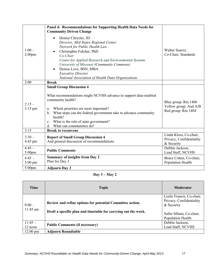|                              | Panel 4: Recommendations for Supporting Health Data Needs for<br><b>Community Driven Change</b>                                                                                                                                                                                                                                                                       |                                                                    |
|------------------------------|-----------------------------------------------------------------------------------------------------------------------------------------------------------------------------------------------------------------------------------------------------------------------------------------------------------------------------------------------------------------------|--------------------------------------------------------------------|
| $1:00-$<br>$2:00$ pm         | Denise Chrysler, JD<br>$\bullet$<br>Director, Mid-States Regional Center<br>Network for Public Health Law<br>Christopher Fulcher, PhD<br>$Co-Chair$<br>Center for Applied Research and Environmental Systems<br>University of Missouri (Community Commons)<br>Denise Love, BSN, MBA<br><b>Executive Director</b><br>National Association of Health Data Organizations | Walter Suarez,<br>Co-Chair, Standards                              |
| 2:00                         | <b>Break</b>                                                                                                                                                                                                                                                                                                                                                          |                                                                    |
| $2:15-$<br>$3:15$ pm         | <b>Small Group Discussion 4</b><br>What recommendations might NCVHS advance to support data-enabled<br>community health?<br>Which priorities are most important?<br>a.<br>What steps can the federal government take to advance community<br>$\mathbf{b}$ .<br>health?<br>What is the role of state government?<br>c.<br>What can communities do?<br>d.               | Blue group: Rm 1406<br>Yellow group: Aud A/B<br>Red group: Rm 1404 |
| 3:15                         | <b>Break to reconvene</b>                                                                                                                                                                                                                                                                                                                                             |                                                                    |
| $3:30-$<br>$4:45 \text{ pm}$ | <b>Report of Small Group Discussion 4</b><br>And general discussion of recommendations                                                                                                                                                                                                                                                                                | Linda Kloss, Co-chair,<br>Privacy, Confidentiality<br>& Security   |
| $4:45-$<br>5:00pm            | <b>Public Comments</b>                                                                                                                                                                                                                                                                                                                                                | Debbie Jackson,<br>Lead Staff, NCVHS                               |
| $4:45-$<br>5:00 pm           | <b>Summary of insights from Day 2</b><br>Plan for Day 3                                                                                                                                                                                                                                                                                                               | Bruce Cohen, Co-chair,<br>Population Health                        |
| $5:00$ pm                    | <b>Adjourn Day 2</b>                                                                                                                                                                                                                                                                                                                                                  |                                                                    |

### **Day 3 – May 2**

| Time                  | <b>Topic</b>                                                                                                                | Moderator                                                                                                           |
|-----------------------|-----------------------------------------------------------------------------------------------------------------------------|---------------------------------------------------------------------------------------------------------------------|
| $9:00-$<br>$11:45$ am | Review and refine options for potential Committee action.<br>Draft a specific plan and timetable for carrying out the work. | Leslie Francis, Co-chair,<br>Privacy, Confidentiality<br>& Security<br>Sallie Milam, Co-chair,<br>Population Health |
| $11:45-$<br>12 noon   | <b>Public Comments (if necessary)</b>                                                                                       | Debbie Jackson,<br>Lead Staff, NCVHS                                                                                |
| $12:00 \text{ pm}$    | <b>Adjourn Roundtable</b>                                                                                                   |                                                                                                                     |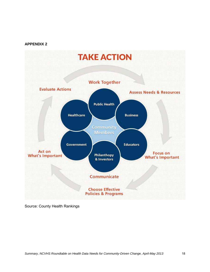

Source: County Health Rankings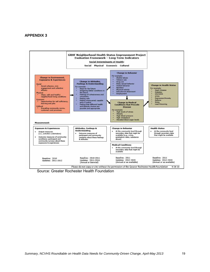

Source: Greater Rochester Health Foundation